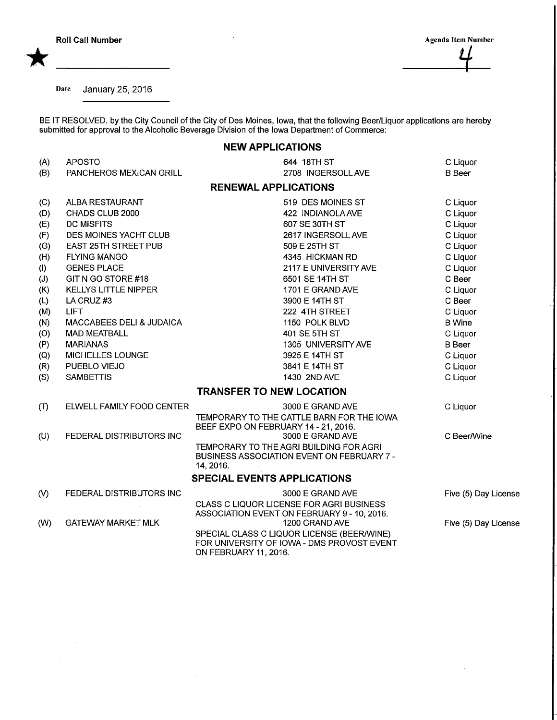\*

Roll Call Number<br>
Agenda Item Number<br>
Agenda Item Number<br>
Agenda Item Number

Date January 25, 2016

BE IT RESOLVED, by the City Council of the City of Des Moines, Iowa, that the following Beer/Liquor applications are hereb submitted for approval to the Alcoholic Beverage Division of the Iowa Department of Commerce:

## NEW APPLICATIONS

| (A)           | <b>APOSTO</b>               | 644 18TH ST                                                                | C Liquor             |
|---------------|-----------------------------|----------------------------------------------------------------------------|----------------------|
| (B)           | PANCHEROS MEXICAN GRILL     | 2708 INGERSOLL AVE                                                         | <b>B</b> Beer        |
|               |                             |                                                                            |                      |
|               |                             | <b>RENEWAL APPLICATIONS</b>                                                |                      |
| (C)           | ALBA RESTAURANT             | 519 DES MOINES ST                                                          | C Liquor             |
| (D)           | CHADS CLUB 2000             | 422 INDIANOLA AVE                                                          | C Liquor             |
| (E)           | <b>DC MISFITS</b>           | 607 SE 30TH ST                                                             | C Liquor             |
| (F)           | DES MOINES YACHT CLUB       | 2617 INGERSOLL AVE                                                         | C Liquor             |
| (G)           | <b>EAST 25TH STREET PUB</b> | 509 E 25TH ST                                                              | C Liquor             |
| (H)           | <b>FLYING MANGO</b>         | 4345 HICKMAN RD                                                            | C Liquor             |
| $($ l $)$     | <b>GENES PLACE</b>          | 2117 E UNIVERSITY AVE                                                      | C Liquor             |
| (J)           | GIT N GO STORE #18          | 6501 SE 14TH ST                                                            | C Beer               |
| (K)           | <b>KELLYS LITTLE NIPPER</b> | 1701 E GRAND AVE                                                           | C Liquor             |
| (L)           | LA CRUZ#3                   | 3900 E 14TH ST                                                             | C Beer               |
| (M)           | <b>LIFT</b>                 | 222 4TH STREET                                                             | C Liquor             |
| (N)           | MACCABEES DELI & JUDAICA    | 1150 POLK BLVD                                                             | <b>B</b> Wine        |
| (O)           | <b>MAD MEATBALL</b>         | 401 SE 5TH ST                                                              | C Liquor             |
| (P)           | <b>MARIANAS</b>             | 1305 UNIVERSITY AVE                                                        | <b>B</b> Beer        |
| (Q)           | <b>MICHELLES LOUNGE</b>     | 3925 E 14TH ST                                                             | C Liquor             |
| (R)           | PUEBLO VIEJO                | 3841 E 14TH ST                                                             | C Liquor             |
| (S)           | <b>SAMBETTIS</b>            | 1430 2ND AVE                                                               | C Liquor             |
|               |                             | <b>TRANSFER TO NEW LOCATION</b>                                            |                      |
| (T)           | ELWELL FAMILY FOOD CENTER   | 3000 E GRAND AVE                                                           | C Liquor             |
|               |                             | TEMPORARY TO THE CATTLE BARN FOR THE IOWA                                  |                      |
|               |                             | BEEF EXPO ON FEBRUARY 14 - 21, 2016.                                       |                      |
| (U)           | FEDERAL DISTRIBUTORS INC    | 3000 E GRAND AVE                                                           | C Beer/Wine          |
|               |                             | TEMPORARY TO THE AGRI BUILDING FOR AGRI                                    |                      |
|               |                             | <b>BUSINESS ASSOCIATION EVENT ON FEBRUARY 7 -</b>                          |                      |
|               |                             | 14, 2016.                                                                  |                      |
|               |                             | <b>SPECIAL EVENTS APPLICATIONS</b>                                         |                      |
| $\mathcal{N}$ | FEDERAL DISTRIBUTORS INC    | 3000 E GRAND AVE                                                           | Five (5) Day License |
|               |                             | <b>CLASS C LIQUOR LICENSE FOR AGRI BUSINESS</b>                            |                      |
|               |                             | ASSOCIATION EVENT ON FEBRUARY 9 - 10, 2016.                                |                      |
| (W)           | <b>GATEWAY MARKET MLK</b>   | 1200 GRAND AVE                                                             | Five (5) Day License |
|               |                             | SPECIAL CLASS C LIQUOR LICENSE (BEER/WINE)                                 |                      |
|               |                             | FOR UNIVERSITY OF IOWA - DMS PROVOST EVENT<br><b>ON FEBRUARY 11, 2016.</b> |                      |
|               |                             |                                                                            |                      |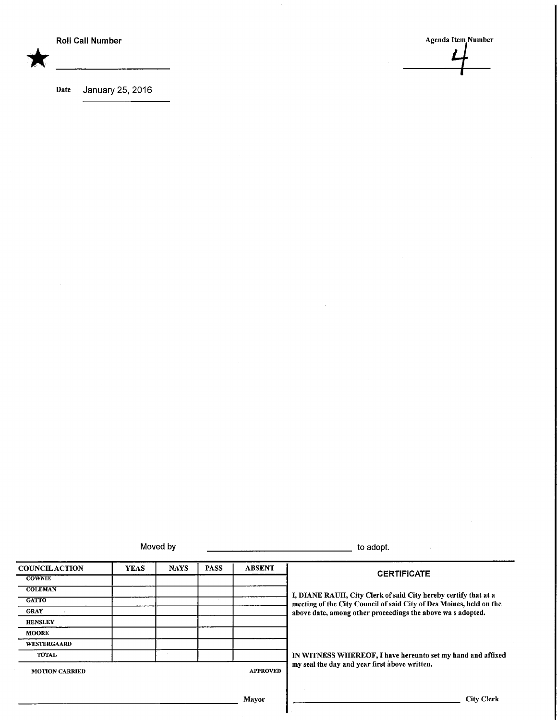Roll Call Number Agenda Item. Number Agenda Item. Number Agenda Item. Number

Date January 25, 2016

Moved by the contract of the contract of the contract of the adopt.

| <b>COUNCILACTION</b>  | <b>YEAS</b> | <b>NAYS</b> | <b>PASS</b> | <b>ABSENT</b>   |                                                                                                                                        |  |
|-----------------------|-------------|-------------|-------------|-----------------|----------------------------------------------------------------------------------------------------------------------------------------|--|
| <b>COWNIE</b>         |             |             |             |                 | <b>CERTIFICATE</b>                                                                                                                     |  |
| <b>COLEMAN</b>        |             |             |             |                 |                                                                                                                                        |  |
| <b>GATTO</b>          |             |             |             |                 | I, DIANE RAUH, City Clerk of said City hereby certify that at a<br>meeting of the City Council of said City of Des Moines, held on the |  |
| <b>GRAY</b>           |             |             |             |                 | above date, among other proceedings the above was adopted.                                                                             |  |
| <b>HENSLEY</b>        |             |             |             |                 |                                                                                                                                        |  |
| <b>MOORE</b>          |             |             |             |                 |                                                                                                                                        |  |
| <b>WESTERGAARD</b>    |             |             |             |                 |                                                                                                                                        |  |
| <b>TOTAL</b>          |             |             |             |                 | IN WITNESS WHEREOF, I have hereunto set my hand and affixed                                                                            |  |
| <b>MOTION CARRIED</b> |             |             |             | <b>APPROVED</b> | my seal the day and year first above written.                                                                                          |  |
|                       |             |             |             |                 |                                                                                                                                        |  |
|                       |             |             |             | <b>Mayor</b>    | <b>City Clerk</b>                                                                                                                      |  |

i.